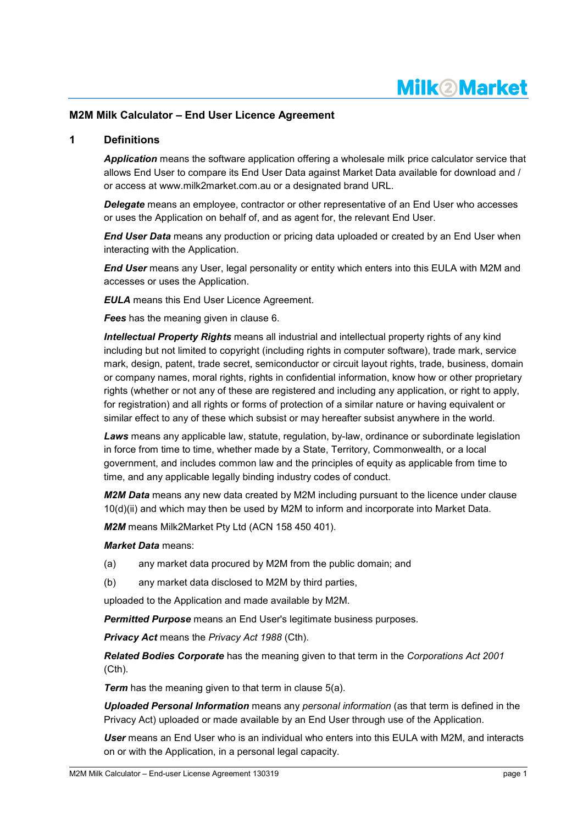# **Milk2Market**

## **M2M Milk Calculator – End User Licence Agreement**

### **1 Definitions**

*Application* means the software application offering a wholesale milk price calculator service that allows End User to compare its End User Data against Market Data available for download and / or access at www.milk2market.com.au or a designated brand URL.

*Delegate* means an employee, contractor or other representative of an End User who accesses or uses the Application on behalf of, and as agent for, the relevant End User.

*End User Data* means any production or pricing data uploaded or created by an End User when interacting with the Application.

*End User* means any User, legal personality or entity which enters into this EULA with M2M and accesses or uses the Application.

*EULA* means this End User Licence Agreement.

*Fees* has the meaning given in clause [6.](#page-2-0)

*Intellectual Property Rights* means all industrial and intellectual property rights of any kind including but not limited to copyright (including rights in computer software), trade mark, service mark, design, patent, trade secret, semiconductor or circuit layout rights, trade, business, domain or company names, moral rights, rights in confidential information, know how or other proprietary rights (whether or not any of these are registered and including any application, or right to apply, for registration) and all rights or forms of protection of a similar nature or having equivalent or similar effect to any of these which subsist or may hereafter subsist anywhere in the world.

**Laws** means any applicable law, statute, regulation, by-law, ordinance or subordinate legislation in force from time to time, whether made by a State, Territory, Commonwealth, or a local government, and includes common law and the principles of equity as applicable from time to time, and any applicable legally binding industry codes of conduct.

*M2M Data* means any new data created by M2M including pursuant to the licence under clause [10\(d\)\(ii\)](#page-4-0) and which may then be used by M2M to inform and incorporate into Market Data.

*M2M* means Milk2Market Pty Ltd (ACN 158 450 401).

#### *Market Data* means:

- (a) any market data procured by M2M from the public domain; and
- (b) any market data disclosed to M2M by third parties,

uploaded to the Application and made available by M2M.

**Permitted Purpose** means an End User's legitimate business purposes.

*Privacy Act* means the *Privacy Act 1988* (Cth).

*Related Bodies Corporate* has the meaning given to that term in the *Corporations Act 2001*  (Cth).

**Term** has the meaning given to that term in clause [5\(a\).](#page-1-0)

*Uploaded Personal Information* means any *personal information* (as that term is defined in the Privacy Act) uploaded or made available by an End User through use of the Application.

*User* means an End User who is an individual who enters into this EULA with M2M, and interacts on or with the Application, in a personal legal capacity.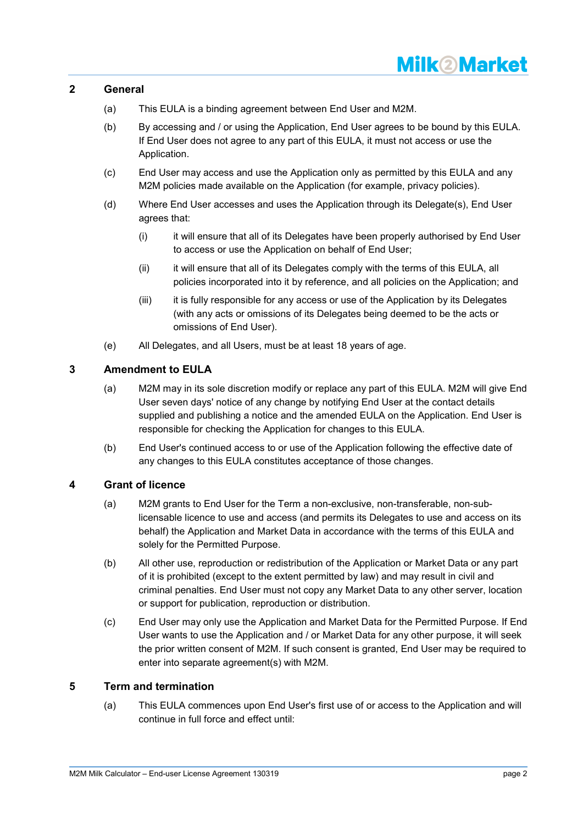# **Milk2Market**

## **2 General**

- (a) This EULA is a binding agreement between End User and M2M.
- (b) By accessing and / or using the Application, End User agrees to be bound by this EULA. If End User does not agree to any part of this EULA, it must not access or use the Application.
- (c) End User may access and use the Application only as permitted by this EULA and any M2M policies made available on the Application (for example, privacy policies).
- (d) Where End User accesses and uses the Application through its Delegate(s), End User agrees that:
	- (i) it will ensure that all of its Delegates have been properly authorised by End User to access or use the Application on behalf of End User;
	- (ii) it will ensure that all of its Delegates comply with the terms of this EULA, all policies incorporated into it by reference, and all policies on the Application; and
	- (iii) it is fully responsible for any access or use of the Application by its Delegates (with any acts or omissions of its Delegates being deemed to be the acts or omissions of End User).
- (e) All Delegates, and all Users, must be at least 18 years of age.

## **3 Amendment to EULA**

- (a) M2M may in its sole discretion modify or replace any part of this EULA. M2M will give End User seven days' notice of any change by notifying End User at the contact details supplied and publishing a notice and the amended EULA on the Application. End User is responsible for checking the Application for changes to this EULA.
- (b) End User's continued access to or use of the Application following the effective date of any changes to this EULA constitutes acceptance of those changes.

## **4 Grant of licence**

- (a) M2M grants to End User for the Term a non-exclusive, non-transferable, non-sublicensable licence to use and access (and permits its Delegates to use and access on its behalf) the Application and Market Data in accordance with the terms of this EULA and solely for the Permitted Purpose.
- (b) All other use, reproduction or redistribution of the Application or Market Data or any part of it is prohibited (except to the extent permitted by law) and may result in civil and criminal penalties. End User must not copy any Market Data to any other server, location or support for publication, reproduction or distribution.
- (c) End User may only use the Application and Market Data for the Permitted Purpose. If End User wants to use the Application and / or Market Data for any other purpose, it will seek the prior written consent of M2M. If such consent is granted, End User may be required to enter into separate agreement(s) with M2M.

## <span id="page-1-1"></span><span id="page-1-0"></span>**5 Term and termination**

(a) This EULA commences upon End User's first use of or access to the Application and will continue in full force and effect until: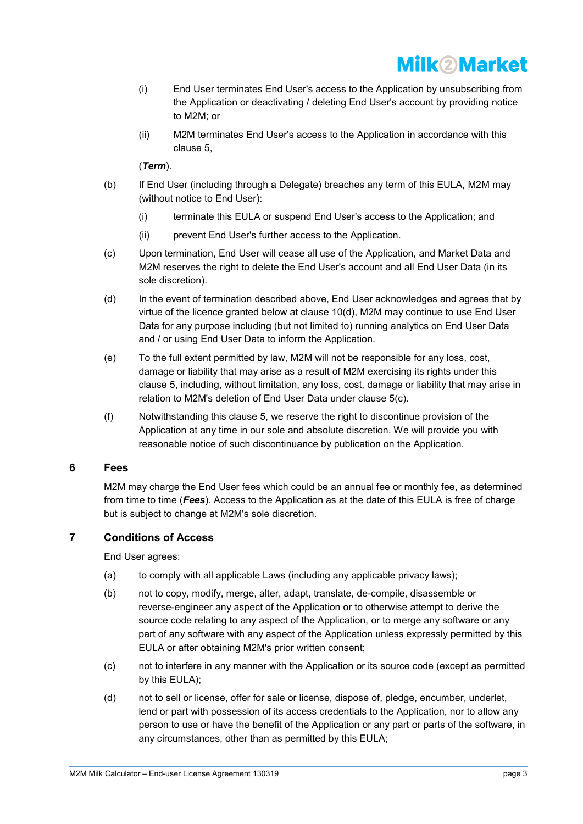

- (i) End User terminates End User's access to the Application by unsubscribing from the Application or deactivating / deleting End User's account by providing notice to M2M; or
- (ii) M2M terminates End User's access to the Application in accordance with this clause [5,](#page-1-1)

## (*Term*).

- (b) If End User (including through a Delegate) breaches any term of this EULA, M2M may (without notice to End User):
	- (i) terminate this EULA or suspend End User's access to the Application; and
	- (ii) prevent End User's further access to the Application.
- <span id="page-2-1"></span>(c) Upon termination, End User will cease all use of the Application, and Market Data and M2M reserves the right to delete the End User's account and all End User Data (in its sole discretion).
- (d) In the event of termination described above, End User acknowledges and agrees that by virtue of the licence granted below at clause [10\(d\),](#page-4-1) M2M may continue to use End User Data for any purpose including (but not limited to) running analytics on End User Data and / or using End User Data to inform the Application.
- (e) To the full extent permitted by law, M2M will not be responsible for any loss, cost, damage or liability that may arise as a result of M2M exercising its rights under this clause [5,](#page-1-1) including, without limitation, any loss, cost, damage or liability that may arise in relation to M2M's deletion of End User Data under clause [5\(c\).](#page-2-1)
- (f) Notwithstanding this clause [5,](#page-1-1) we reserve the right to discontinue provision of the Application at any time in our sole and absolute discretion. We will provide you with reasonable notice of such discontinuance by publication on the Application.

### <span id="page-2-0"></span>**6 Fees**

M2M may charge the End User fees which could be an annual fee or monthly fee, as determined from time to time (*Fees*). Access to the Application as at the date of this EULA is free of charge but is subject to change at M2M's sole discretion.

## **7 Conditions of Access**

End User agrees:

- (a) to comply with all applicable Laws (including any applicable privacy laws);
- (b) not to copy, modify, merge, alter, adapt, translate, de-compile, disassemble or reverse-engineer any aspect of the Application or to otherwise attempt to derive the source code relating to any aspect of the Application, or to merge any software or any part of any software with any aspect of the Application unless expressly permitted by this EULA or after obtaining M2M's prior written consent;
- (c) not to interfere in any manner with the Application or its source code (except as permitted by this EULA);
- (d) not to sell or license, offer for sale or license, dispose of, pledge, encumber, underlet, lend or part with possession of its access credentials to the Application, nor to allow any person to use or have the benefit of the Application or any part or parts of the software, in any circumstances, other than as permitted by this EULA;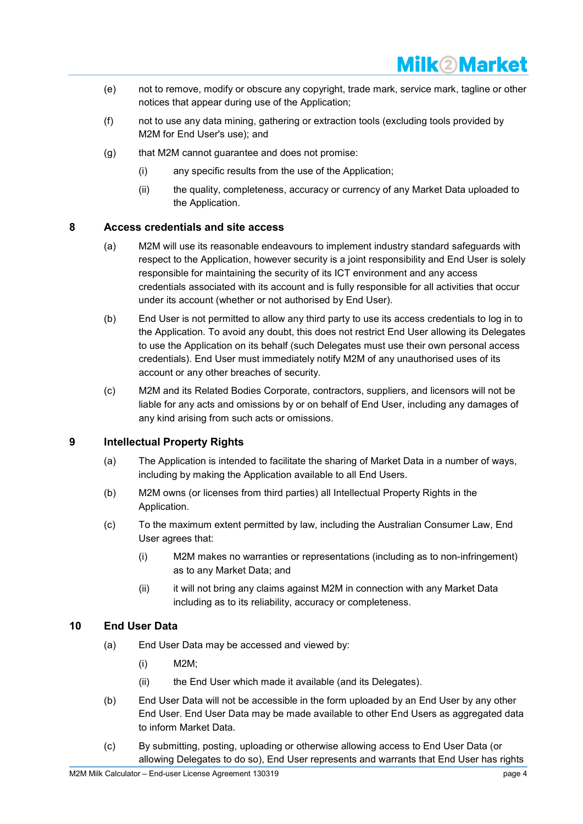

- (e) not to remove, modify or obscure any copyright, trade mark, service mark, tagline or other notices that appear during use of the Application;
- (f) not to use any data mining, gathering or extraction tools (excluding tools provided by M2M for End User's use); and
- (g) that M2M cannot guarantee and does not promise:
	- (i) any specific results from the use of the Application;
	- (ii) the quality, completeness, accuracy or currency of any Market Data uploaded to the Application.

### **8 Access credentials and site access**

- (a) M2M will use its reasonable endeavours to implement industry standard safeguards with respect to the Application, however security is a joint responsibility and End User is solely responsible for maintaining the security of its ICT environment and any access credentials associated with its account and is fully responsible for all activities that occur under its account (whether or not authorised by End User).
- (b) End User is not permitted to allow any third party to use its access credentials to log in to the Application. To avoid any doubt, this does not restrict End User allowing its Delegates to use the Application on its behalf (such Delegates must use their own personal access credentials). End User must immediately notify M2M of any unauthorised uses of its account or any other breaches of security.
- (c) M2M and its Related Bodies Corporate, contractors, suppliers, and licensors will not be liable for any acts and omissions by or on behalf of End User, including any damages of any kind arising from such acts or omissions.

### <span id="page-3-1"></span>**9 Intellectual Property Rights**

- (a) The Application is intended to facilitate the sharing of Market Data in a number of ways, including by making the Application available to all End Users.
- (b) M2M owns (or licenses from third parties) all Intellectual Property Rights in the Application.
- (c) To the maximum extent permitted by law, including the Australian Consumer Law, End User agrees that:
	- (i) M2M makes no warranties or representations (including as to non-infringement) as to any Market Data; and
	- (ii) it will not bring any claims against M2M in connection with any Market Data including as to its reliability, accuracy or completeness.

### <span id="page-3-0"></span>**10 End User Data**

- (a) End User Data may be accessed and viewed by:
	- (i) M2M;
	- (ii) the End User which made it available (and its Delegates).
- (b) End User Data will not be accessible in the form uploaded by an End User by any other End User. End User Data may be made available to other End Users as aggregated data to inform Market Data.
- (c) By submitting, posting, uploading or otherwise allowing access to End User Data (or allowing Delegates to do so), End User represents and warrants that End User has rights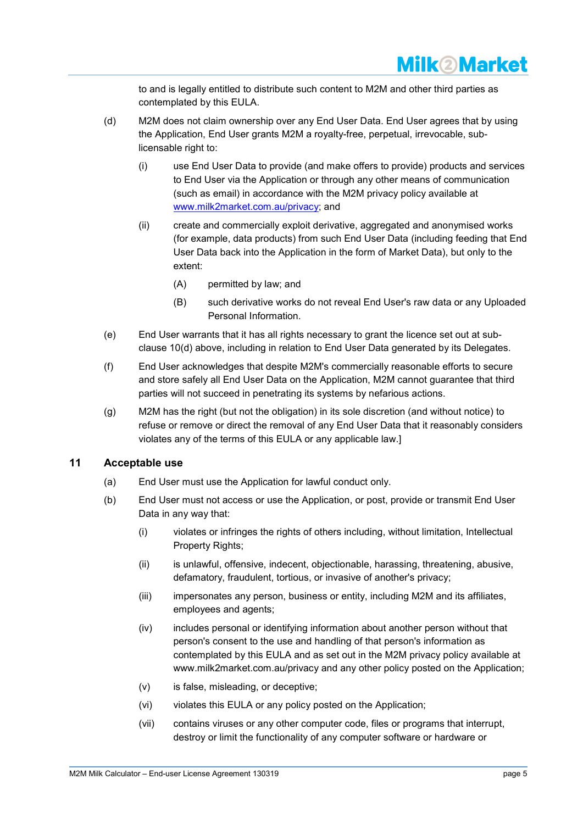to and is legally entitled to distribute such content to M2M and other third parties as contemplated by this EULA.

- <span id="page-4-1"></span><span id="page-4-0"></span>(d) M2M does not claim ownership over any End User Data. End User agrees that by using the Application, End User grants M2M a royalty-free, perpetual, irrevocable, sublicensable right to:
	- (i) use End User Data to provide (and make offers to provide) products and services to End User via the Application or through any other means of communication (such as email) in accordance with the M2M privacy policy available at [www.milk2market.com.au/privacy;](http://www.milk2market.com.au/privacy) and
	- (ii) create and commercially exploit derivative, aggregated and anonymised works (for example, data products) from such End User Data (including feeding that End User Data back into the Application in the form of Market Data), but only to the extent:
		- (A) permitted by law; and
		- (B) such derivative works do not reveal End User's raw data or any Uploaded Personal Information.
- (e) End User warrants that it has all rights necessary to grant the licence set out at subclause [10](#page-3-0)[\(d\)](#page-4-1) above, including in relation to End User Data generated by its Delegates.
- (f) End User acknowledges that despite M2M's commercially reasonable efforts to secure and store safely all End User Data on the Application, M2M cannot guarantee that third parties will not succeed in penetrating its systems by nefarious actions.
- (g) M2M has the right (but not the obligation) in its sole discretion (and without notice) to refuse or remove or direct the removal of any End User Data that it reasonably considers violates any of the terms of this EULA or any applicable law.]

## <span id="page-4-2"></span>**11 Acceptable use**

- (a) End User must use the Application for lawful conduct only.
- (b) End User must not access or use the Application, or post, provide or transmit End User Data in any way that:
	- (i) violates or infringes the rights of others including, without limitation, Intellectual Property Rights:
	- (ii) is unlawful, offensive, indecent, objectionable, harassing, threatening, abusive, defamatory, fraudulent, tortious, or invasive of another's privacy;
	- (iii) impersonates any person, business or entity, including M2M and its affiliates, employees and agents;
	- (iv) includes personal or identifying information about another person without that person's consent to the use and handling of that person's information as contemplated by this EULA and as set out in the M2M privacy policy available at www.milk2market.com.au/privacy and any other policy posted on the Application;
	- (v) is false, misleading, or deceptive;
	- (vi) violates this EULA or any policy posted on the Application;
	- (vii) contains viruses or any other computer code, files or programs that interrupt, destroy or limit the functionality of any computer software or hardware or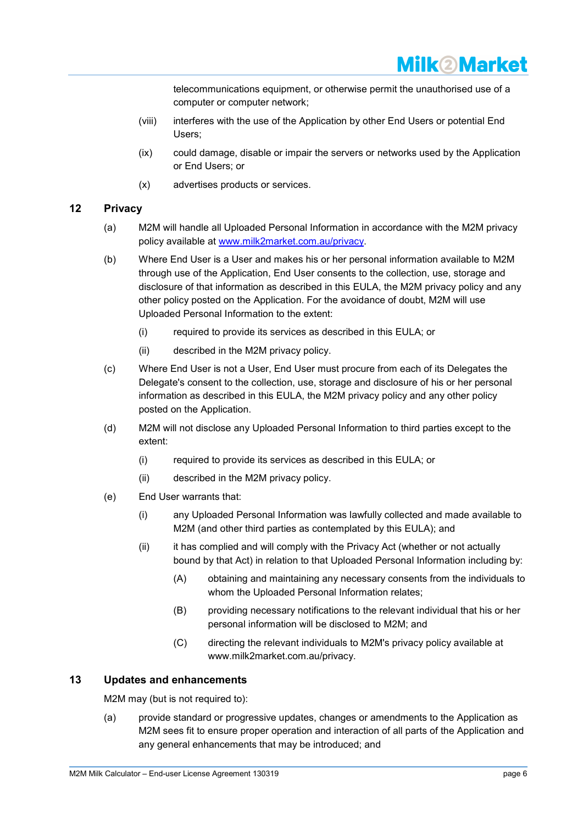

telecommunications equipment, or otherwise permit the unauthorised use of a computer or computer network;

- (viii) interferes with the use of the Application by other End Users or potential End Users;
- (ix) could damage, disable or impair the servers or networks used by the Application or End Users; or
- (x) advertises products or services.

## <span id="page-5-0"></span>**12 Privacy**

- (a) M2M will handle all Uploaded Personal Information in accordance with the M2M privacy policy available at [www.milk2market.com.au/privacy.](http://www.milk2market.com.au/privacy)
- (b) Where End User is a User and makes his or her personal information available to M2M through use of the Application, End User consents to the collection, use, storage and disclosure of that information as described in this EULA, the M2M privacy policy and any other policy posted on the Application. For the avoidance of doubt, M2M will use Uploaded Personal Information to the extent:
	- (i) required to provide its services as described in this EULA; or
	- (ii) described in the M2M privacy policy.
- (c) Where End User is not a User, End User must procure from each of its Delegates the Delegate's consent to the collection, use, storage and disclosure of his or her personal information as described in this EULA, the M2M privacy policy and any other policy posted on the Application.
- (d) M2M will not disclose any Uploaded Personal Information to third parties except to the extent:
	- (i) required to provide its services as described in this EULA; or
	- (ii) described in the M2M privacy policy.
- (e) End User warrants that:
	- (i) any Uploaded Personal Information was lawfully collected and made available to M2M (and other third parties as contemplated by this EULA); and
	- (ii) it has complied and will comply with the Privacy Act (whether or not actually bound by that Act) in relation to that Uploaded Personal Information including by:
		- (A) obtaining and maintaining any necessary consents from the individuals to whom the Uploaded Personal Information relates;
		- (B) providing necessary notifications to the relevant individual that his or her personal information will be disclosed to M2M; and
		- (C) directing the relevant individuals to M2M's privacy policy available at www.milk2market.com.au/privacy.

## **13 Updates and enhancements**

M2M may (but is not required to):

(a) provide standard or progressive updates, changes or amendments to the Application as M2M sees fit to ensure proper operation and interaction of all parts of the Application and any general enhancements that may be introduced; and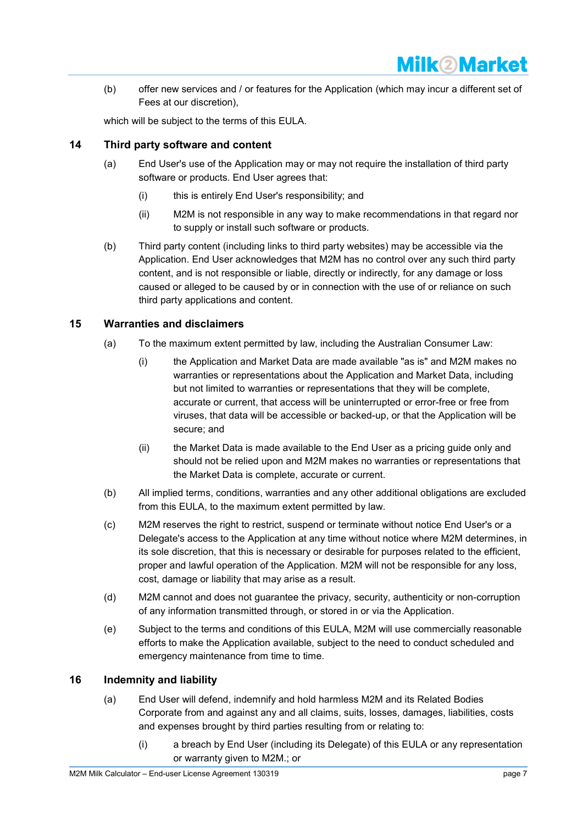

(b) offer new services and / or features for the Application (which may incur a different set of Fees at our discretion),

which will be subject to the terms of this EULA.

## **14 Third party software and content**

- (a) End User's use of the Application may or may not require the installation of third party software or products. End User agrees that:
	- (i) this is entirely End User's responsibility; and
	- (ii) M2M is not responsible in any way to make recommendations in that regard nor to supply or install such software or products.
- (b) Third party content (including links to third party websites) may be accessible via the Application. End User acknowledges that M2M has no control over any such third party content, and is not responsible or liable, directly or indirectly, for any damage or loss caused or alleged to be caused by or in connection with the use of or reliance on such third party applications and content.

## <span id="page-6-0"></span>**15 Warranties and disclaimers**

- (a) To the maximum extent permitted by law, including the Australian Consumer Law:
	- (i) the Application and Market Data are made available "as is" and M2M makes no warranties or representations about the Application and Market Data, including but not limited to warranties or representations that they will be complete, accurate or current, that access will be uninterrupted or error-free or free from viruses, that data will be accessible or backed-up, or that the Application will be secure; and
	- (ii) the Market Data is made available to the End User as a pricing guide only and should not be relied upon and M2M makes no warranties or representations that the Market Data is complete, accurate or current.
- (b) All implied terms, conditions, warranties and any other additional obligations are excluded from this EULA, to the maximum extent permitted by law.
- (c) M2M reserves the right to restrict, suspend or terminate without notice End User's or a Delegate's access to the Application at any time without notice where M2M determines, in its sole discretion, that this is necessary or desirable for purposes related to the efficient, proper and lawful operation of the Application. M2M will not be responsible for any loss, cost, damage or liability that may arise as a result.
- (d) M2M cannot and does not guarantee the privacy, security, authenticity or non-corruption of any information transmitted through, or stored in or via the Application.
- (e) Subject to the terms and conditions of this EULA, M2M will use commercially reasonable efforts to make the Application available, subject to the need to conduct scheduled and emergency maintenance from time to time.

## <span id="page-6-1"></span>**16 Indemnity and liability**

- (a) End User will defend, indemnify and hold harmless M2M and its Related Bodies Corporate from and against any and all claims, suits, losses, damages, liabilities, costs and expenses brought by third parties resulting from or relating to:
	- (i) a breach by End User (including its Delegate) of this EULA or any representation or warranty given to M2M.; or